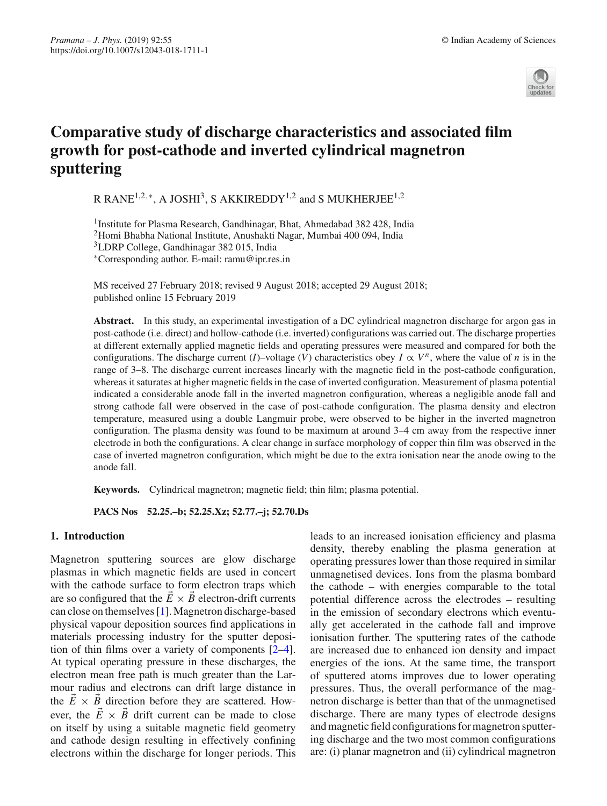

# **Comparative study of discharge characteristics and associated film growth for post-cathode and inverted cylindrical magnetron sputtering**

R RANE<sup>1,2,∗</sup>, A JOSHI<sup>3</sup>, S AKKIREDDY<sup>1,2</sup> and S MUKHERJEE<sup>1,2</sup>

<sup>1</sup>Institute for Plasma Research, Gandhinagar, Bhat, Ahmedabad 382 428, India 2Homi Bhabha National Institute, Anushakti Nagar, Mumbai 400 094, India 3LDRP College, Gandhinagar 382 015, India ∗Corresponding author. E-mail: ramu@ipr.res.in

MS received 27 February 2018; revised 9 August 2018; accepted 29 August 2018; published online 15 February 2019

**Abstract.** In this study, an experimental investigation of a DC cylindrical magnetron discharge for argon gas in post-cathode (i.e. direct) and hollow-cathode (i.e. inverted) configurations was carried out. The discharge properties at different externally applied magnetic fields and operating pressures were measured and compared for both the configurations. The discharge current (*I*)–voltage (*V*) characteristics obey  $I \propto V^n$ , where the value of *n* is in the range of 3–8. The discharge current increases linearly with the magnetic field in the post-cathode configuration, whereas it saturates at higher magnetic fields in the case of inverted configuration. Measurement of plasma potential indicated a considerable anode fall in the inverted magnetron configuration, whereas a negligible anode fall and strong cathode fall were observed in the case of post-cathode configuration. The plasma density and electron temperature, measured using a double Langmuir probe, were observed to be higher in the inverted magnetron configuration. The plasma density was found to be maximum at around 3–4 cm away from the respective inner electrode in both the configurations. A clear change in surface morphology of copper thin film was observed in the case of inverted magnetron configuration, which might be due to the extra ionisation near the anode owing to the anode fall.

**Keywords.** Cylindrical magnetron; magnetic field; thin film; plasma potential.

**PACS Nos 52.25.–b; 52.25.Xz; 52.77.–j; 52.70.Ds**

# **1. Introduction**

Magnetron sputtering sources are glow discharge plasmas in which magnetic fields are used in concert with the cathode surface to form electron traps which are so configured that the  $\vec{E} \times \vec{B}$  electron-drift currents can close on themselves [\[1](#page-8-0)]. Magnetron discharge-based physical vapour deposition sources find applications in materials processing industry for the sputter deposition of thin films over a variety of components [\[2](#page-8-1)[–4](#page-8-2)]. At typical operating pressure in these discharges, the electron mean free path is much greater than the Larmour radius and electrons can drift large distance in the  $E \times B$  direction before they are scattered. However, the  $\vec{E} \times \vec{B}$  drift current can be made to close on itself by using a suitable magnetic field geometry and cathode design resulting in effectively confining electrons within the discharge for longer periods. This

leads to an increased ionisation efficiency and plasma density, thereby enabling the plasma generation at operating pressures lower than those required in similar unmagnetised devices. Ions from the plasma bombard the cathode – with energies comparable to the total potential difference across the electrodes – resulting in the emission of secondary electrons which eventually get accelerated in the cathode fall and improve ionisation further. The sputtering rates of the cathode are increased due to enhanced ion density and impact energies of the ions. At the same time, the transport of sputtered atoms improves due to lower operating pressures. Thus, the overall performance of the magnetron discharge is better than that of the unmagnetised discharge. There are many types of electrode designs and magnetic field configurations for magnetron sputtering discharge and the two most common configurations are: (i) planar magnetron and (ii) cylindrical magnetron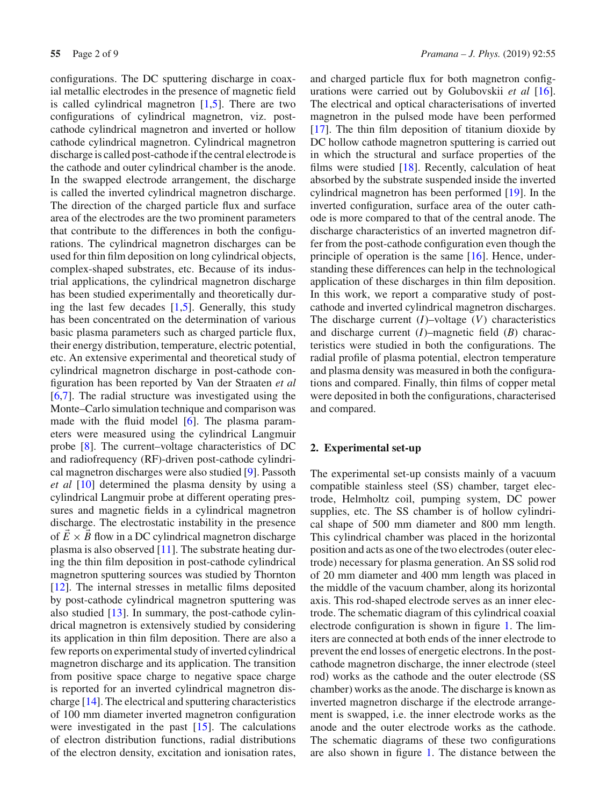configurations. The DC sputtering discharge in coaxial metallic electrodes in the presence of magnetic field is called cylindrical magnetron  $[1,5]$  $[1,5]$ . There are two configurations of cylindrical magnetron, viz. postcathode cylindrical magnetron and inverted or hollow cathode cylindrical magnetron. Cylindrical magnetron discharge is called post-cathode if the central electrode is the cathode and outer cylindrical chamber is the anode. In the swapped electrode arrangement, the discharge is called the inverted cylindrical magnetron discharge. The direction of the charged particle flux and surface area of the electrodes are the two prominent parameters that contribute to the differences in both the configurations. The cylindrical magnetron discharges can be used for thin film deposition on long cylindrical objects, complex-shaped substrates, etc. Because of its industrial applications, the cylindrical magnetron discharge has been studied experimentally and theoretically during the last few decades  $[1,5]$  $[1,5]$ . Generally, this study has been concentrated on the determination of various basic plasma parameters such as charged particle flux, their energy distribution, temperature, electric potential, etc. An extensive experimental and theoretical study of cylindrical magnetron discharge in post-cathode configuration has been reported by Van der Straaten *et al* [\[6](#page-8-4)[,7\]](#page-8-5). The radial structure was investigated using the Monte–Carlo simulation technique and comparison was made with the fluid model [\[6](#page-8-4)]. The plasma parameters were measured using the cylindrical Langmuir probe [\[8](#page-8-6)]. The current–voltage characteristics of DC and radiofrequency (RF)-driven post-cathode cylindrical magnetron discharges were also studied [\[9](#page-8-7)]. Passoth *et al* [\[10\]](#page-8-8) determined the plasma density by using a cylindrical Langmuir probe at different operating pressures and magnetic fields in a cylindrical magnetron discharge. The electrostatic instability in the presence of  $E \times B$  flow in a DC cylindrical magnetron discharge plasma is also observed [\[11\]](#page-8-9). The substrate heating during the thin film deposition in post-cathode cylindrical magnetron sputtering sources was studied by Thornton [\[12](#page-8-10)]. The internal stresses in metallic films deposited by post-cathode cylindrical magnetron sputtering was also studied [\[13](#page-8-11)]. In summary, the post-cathode cylindrical magnetron is extensively studied by considering its application in thin film deposition. There are also a few reports on experimental study of inverted cylindrical magnetron discharge and its application. The transition from positive space charge to negative space charge is reported for an inverted cylindrical magnetron discharge [\[14\]](#page-8-12). The electrical and sputtering characteristics of 100 mm diameter inverted magnetron configuration were investigated in the past [\[15\]](#page-8-13). The calculations of electron distribution functions, radial distributions of the electron density, excitation and ionisation rates, and charged particle flux for both magnetron configurations were carried out by Golubovskii *et al* [\[16](#page-8-14)]. The electrical and optical characterisations of inverted magnetron in the pulsed mode have been performed [\[17](#page-8-15)]. The thin film deposition of titanium dioxide by DC hollow cathode magnetron sputtering is carried out in which the structural and surface properties of the films were studied  $[18]$  $[18]$ . Recently, calculation of heat absorbed by the substrate suspended inside the inverted cylindrical magnetron has been performed [\[19](#page-8-17)]. In the inverted configuration, surface area of the outer cathode is more compared to that of the central anode. The discharge characteristics of an inverted magnetron differ from the post-cathode configuration even though the principle of operation is the same [\[16](#page-8-14)]. Hence, understanding these differences can help in the technological application of these discharges in thin film deposition. In this work, we report a comparative study of postcathode and inverted cylindrical magnetron discharges. The discharge current (*I*)–voltage (*V*) characteristics and discharge current (*I*)–magnetic field (*B*) characteristics were studied in both the configurations. The radial profile of plasma potential, electron temperature and plasma density was measured in both the configurations and compared. Finally, thin films of copper metal were deposited in both the configurations, characterised and compared.

## **2. Experimental set-up**

The experimental set-up consists mainly of a vacuum compatible stainless steel (SS) chamber, target electrode, Helmholtz coil, pumping system, DC power supplies, etc. The SS chamber is of hollow cylindrical shape of 500 mm diameter and 800 mm length. This cylindrical chamber was placed in the horizontal position and acts as one of the two electrodes (outer electrode) necessary for plasma generation. An SS solid rod of 20 mm diameter and 400 mm length was placed in the middle of the vacuum chamber, along its horizontal axis. This rod-shaped electrode serves as an inner electrode. The schematic diagram of this cylindrical coaxial electrode configuration is shown in figure [1.](#page-2-0) The limiters are connected at both ends of the inner electrode to prevent the end losses of energetic electrons. In the postcathode magnetron discharge, the inner electrode (steel rod) works as the cathode and the outer electrode (SS chamber) works as the anode. The discharge is known as inverted magnetron discharge if the electrode arrangement is swapped, i.e. the inner electrode works as the anode and the outer electrode works as the cathode. The schematic diagrams of these two configurations are also shown in figure [1.](#page-2-0) The distance between the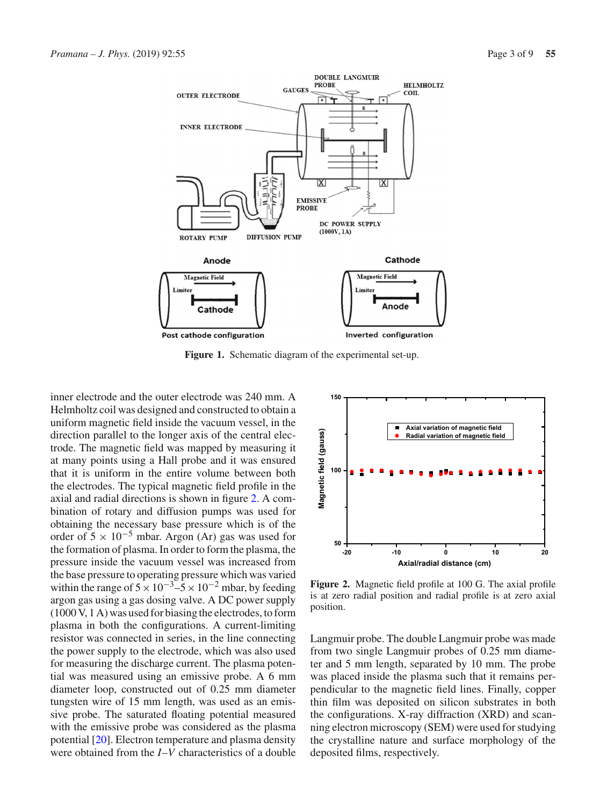

<span id="page-2-0"></span>**Figure 1.** Schematic diagram of the experimental set-up.

inner electrode and the outer electrode was 240 mm. A Helmholtz coil was designed and constructed to obtain a uniform magnetic field inside the vacuum vessel, in the direction parallel to the longer axis of the central electrode. The magnetic field was mapped by measuring it at many points using a Hall probe and it was ensured that it is uniform in the entire volume between both the electrodes. The typical magnetic field profile in the axial and radial directions is shown in figure [2.](#page-2-1) A combination of rotary and diffusion pumps was used for obtaining the necessary base pressure which is of the order of  $5 \times 10^{-5}$  mbar. Argon (Ar) gas was used for the formation of plasma. In order to form the plasma, the pressure inside the vacuum vessel was increased from the base pressure to operating pressure which was varied within the range of  $5 \times 10^{-3}$ – $5 \times 10^{-2}$  mbar, by feeding argon gas using a gas dosing valve. A DC power supply (1000 V, 1 A) was used for biasing the electrodes, to form plasma in both the configurations. A current-limiting resistor was connected in series, in the line connecting the power supply to the electrode, which was also used for measuring the discharge current. The plasma potential was measured using an emissive probe. A 6 mm diameter loop, constructed out of 0.25 mm diameter tungsten wire of 15 mm length, was used as an emissive probe. The saturated floating potential measured with the emissive probe was considered as the plasma potential [\[20\]](#page-8-18). Electron temperature and plasma density were obtained from the *I*–*V* characteristics of a double



<span id="page-2-1"></span>**Figure 2.** Magnetic field profile at 100 G. The axial profile is at zero radial position and radial profile is at zero axial position.

Langmuir probe. The double Langmuir probe was made from two single Langmuir probes of 0.25 mm diameter and 5 mm length, separated by 10 mm. The probe was placed inside the plasma such that it remains perpendicular to the magnetic field lines. Finally, copper thin film was deposited on silicon substrates in both the configurations. X-ray diffraction (XRD) and scanning electron microscopy (SEM) were used for studying the crystalline nature and surface morphology of the deposited films, respectively.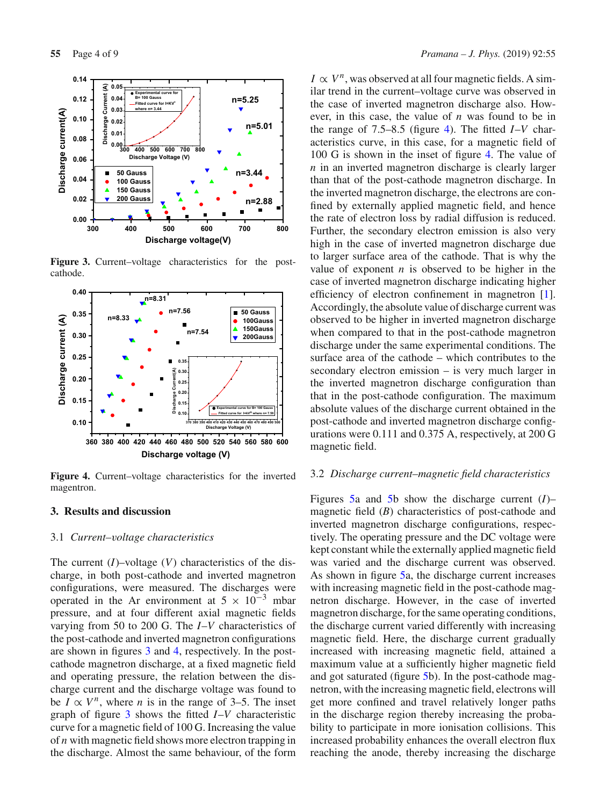

<span id="page-3-0"></span>**Figure 3.** Current–voltage characteristics for the postcathode.



<span id="page-3-1"></span>**Figure 4.** Current–voltage characteristics for the inverted magentron.

# **3. Results and discussion**

### 3.1 *Current–voltage characteristics*

The current (*I*)–voltage (*V*) characteristics of the discharge, in both post-cathode and inverted magnetron configurations, were measured. The discharges were operated in the Ar environment at  $5 \times 10^{-3}$  mbar pressure, and at four different axial magnetic fields varying from 50 to 200 G. The *I*–*V* characteristics of the post-cathode and inverted magnetron configurations are shown in figures [3](#page-3-0) and [4,](#page-3-1) respectively. In the postcathode magnetron discharge, at a fixed magnetic field and operating pressure, the relation between the discharge current and the discharge voltage was found to be  $I \propto V^n$ , where *n* is in the range of 3–5. The inset graph of figure [3](#page-3-0) shows the fitted *I*–*V* characteristic curve for a magnetic field of 100 G. Increasing the value of *n* with magnetic field shows more electron trapping in the discharge. Almost the same behaviour, of the form

 $I \propto V^n$ , was observed at all four magnetic fields. A similar trend in the current–voltage curve was observed in the case of inverted magnetron discharge also. However, in this case, the value of *n* was found to be in the range of 7.5–8.5 (figure [4\)](#page-3-1). The fitted *I*–*V* characteristics curve, in this case, for a magnetic field of 100 G is shown in the inset of figure [4.](#page-3-1) The value of *n* in an inverted magnetron discharge is clearly larger than that of the post-cathode magnetron discharge. In the inverted magnetron discharge, the electrons are confined by externally applied magnetic field, and hence the rate of electron loss by radial diffusion is reduced. Further, the secondary electron emission is also very high in the case of inverted magnetron discharge due to larger surface area of the cathode. That is why the value of exponent  $n$  is observed to be higher in the case of inverted magnetron discharge indicating higher efficiency of electron confinement in magnetron [\[1](#page-8-0)]. Accordingly, the absolute value of discharge current was observed to be higher in inverted magnetron discharge when compared to that in the post-cathode magnetron discharge under the same experimental conditions. The surface area of the cathode – which contributes to the secondary electron emission – is very much larger in the inverted magnetron discharge configuration than that in the post-cathode configuration. The maximum absolute values of the discharge current obtained in the post-cathode and inverted magnetron discharge configurations were 0.111 and 0.375 A, respectively, at 200 G magnetic field.

#### 3.2 *Discharge current–magnetic field characteristics*

Figures [5a](#page-4-0) and [5b](#page-4-0) show the discharge current (*I*)– magnetic field (*B*) characteristics of post-cathode and inverted magnetron discharge configurations, respectively. The operating pressure and the DC voltage were kept constant while the externally applied magnetic field was varied and the discharge current was observed. As shown in figure [5a](#page-4-0), the discharge current increases with increasing magnetic field in the post-cathode magnetron discharge. However, in the case of inverted magnetron discharge, for the same operating conditions, the discharge current varied differently with increasing magnetic field. Here, the discharge current gradually increased with increasing magnetic field, attained a maximum value at a sufficiently higher magnetic field and got saturated (figure [5b](#page-4-0)). In the post-cathode magnetron, with the increasing magnetic field, electrons will get more confined and travel relatively longer paths in the discharge region thereby increasing the probability to participate in more ionisation collisions. This increased probability enhances the overall electron flux reaching the anode, thereby increasing the discharge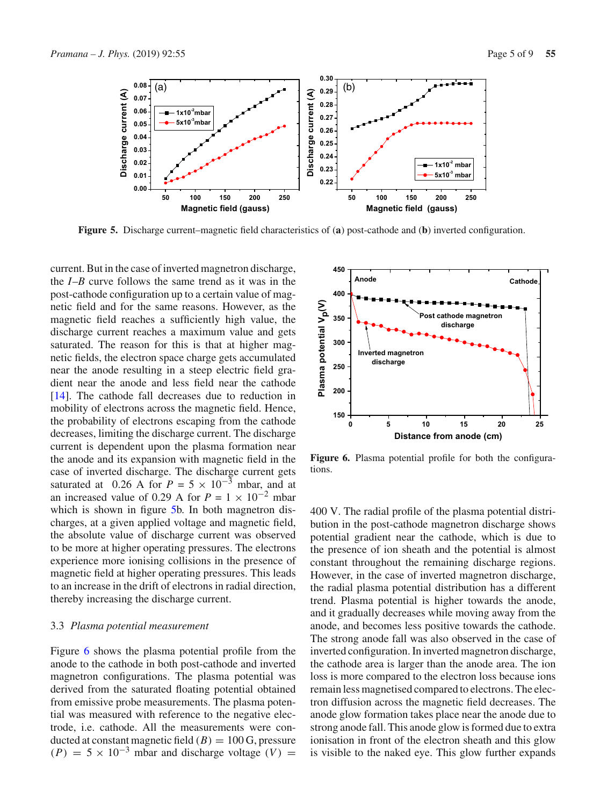

<span id="page-4-0"></span>**Figure 5.** Discharge current–magnetic field characteristics of (**a**) post-cathode and (**b**) inverted configuration.

current. But in the case of inverted magnetron discharge, the *I*–*B* curve follows the same trend as it was in the post-cathode configuration up to a certain value of magnetic field and for the same reasons. However, as the magnetic field reaches a sufficiently high value, the discharge current reaches a maximum value and gets saturated. The reason for this is that at higher magnetic fields, the electron space charge gets accumulated near the anode resulting in a steep electric field gradient near the anode and less field near the cathode [\[14](#page-8-12)]. The cathode fall decreases due to reduction in mobility of electrons across the magnetic field. Hence, the probability of electrons escaping from the cathode decreases, limiting the discharge current. The discharge current is dependent upon the plasma formation near the anode and its expansion with magnetic field in the case of inverted discharge. The discharge current gets saturated at 0.26 A for  $P = 5 \times 10^{-3}$  mbar, and at an increased value of 0.29 A for  $P = 1 \times 10^{-2}$  mbar which is shown in figure [5b](#page-4-0). In both magnetron discharges, at a given applied voltage and magnetic field, the absolute value of discharge current was observed to be more at higher operating pressures. The electrons experience more ionising collisions in the presence of magnetic field at higher operating pressures. This leads to an increase in the drift of electrons in radial direction, thereby increasing the discharge current.

#### 3.3 *Plasma potential measurement*

Figure [6](#page-4-1) shows the plasma potential profile from the anode to the cathode in both post-cathode and inverted magnetron configurations. The plasma potential was derived from the saturated floating potential obtained from emissive probe measurements. The plasma potential was measured with reference to the negative electrode, i.e. cathode. All the measurements were conducted at constant magnetic field  $(B) = 100$  G, pressure  $(P) = 5 \times 10^{-3}$  mbar and discharge voltage  $(V) =$ 



<span id="page-4-1"></span>Figure 6. Plasma potential profile for both the configurations.

400 V. The radial profile of the plasma potential distribution in the post-cathode magnetron discharge shows potential gradient near the cathode, which is due to the presence of ion sheath and the potential is almost constant throughout the remaining discharge regions. However, in the case of inverted magnetron discharge, the radial plasma potential distribution has a different trend. Plasma potential is higher towards the anode, and it gradually decreases while moving away from the anode, and becomes less positive towards the cathode. The strong anode fall was also observed in the case of inverted configuration. In inverted magnetron discharge, the cathode area is larger than the anode area. The ion loss is more compared to the electron loss because ions remain less magnetised compared to electrons. The electron diffusion across the magnetic field decreases. The anode glow formation takes place near the anode due to strong anode fall. This anode glow is formed due to extra ionisation in front of the electron sheath and this glow is visible to the naked eye. This glow further expands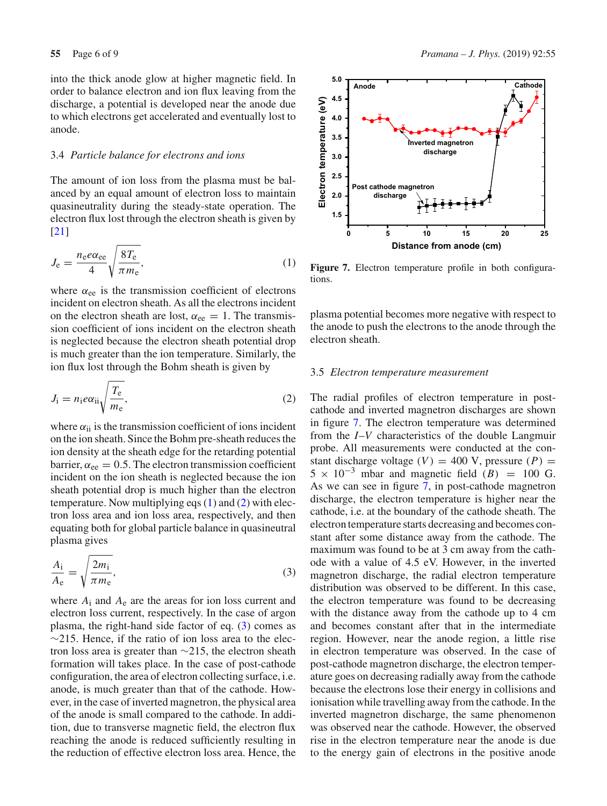into the thick anode glow at higher magnetic field. In order to balance electron and ion flux leaving from the discharge, a potential is developed near the anode due to which electrons get accelerated and eventually lost to anode.

## 3.4 *Particle balance for electrons and ions*

The amount of ion loss from the plasma must be balanced by an equal amount of electron loss to maintain quasineutrality during the steady-state operation. The electron flux lost through the electron sheath is given by [\[21](#page-8-19)]

<span id="page-5-0"></span>
$$
J_{\rm e} = \frac{n_{\rm e}e\alpha_{\rm ee}}{4} \sqrt{\frac{8T_{\rm e}}{\pi m_{\rm e}}},\tag{1}
$$

where  $\alpha_{ee}$  is the transmission coefficient of electrons incident on electron sheath. As all the electrons incident on the electron sheath are lost,  $\alpha_{ee} = 1$ . The transmission coefficient of ions incident on the electron sheath is neglected because the electron sheath potential drop is much greater than the ion temperature. Similarly, the ion flux lost through the Bohm sheath is given by

<span id="page-5-1"></span>
$$
J_{\rm i} = n_{\rm i} e \alpha_{\rm ii} \sqrt{\frac{T_{\rm e}}{m_{\rm e}}},\tag{2}
$$

where  $\alpha_{ii}$  is the transmission coefficient of ions incident on the ion sheath. Since the Bohm pre-sheath reduces the ion density at the sheath edge for the retarding potential barrier,  $\alpha_{ee} = 0.5$ . The electron transmission coefficient incident on the ion sheath is neglected because the ion sheath potential drop is much higher than the electron temperature. Now multiplying eqs [\(1\)](#page-5-0) and [\(2\)](#page-5-1) with electron loss area and ion loss area, respectively, and then equating both for global particle balance in quasineutral plasma gives

<span id="page-5-2"></span>
$$
\frac{A_i}{A_e} = \sqrt{\frac{2m_i}{\pi m_e}},\tag{3}
$$

where  $A_i$  and  $A_e$  are the areas for ion loss current and electron loss current, respectively. In the case of argon plasma, the right-hand side factor of eq. [\(3\)](#page-5-2) comes as  $\sim$ 215. Hence, if the ratio of ion loss area to the electron loss area is greater than ∼215, the electron sheath formation will takes place. In the case of post-cathode configuration, the area of electron collecting surface, i.e. anode, is much greater than that of the cathode. However, in the case of inverted magnetron, the physical area of the anode is small compared to the cathode. In addition, due to transverse magnetic field, the electron flux reaching the anode is reduced sufficiently resulting in the reduction of effective electron loss area. Hence, the



<span id="page-5-3"></span>Figure 7. Electron temperature profile in both configurations.

plasma potential becomes more negative with respect to the anode to push the electrons to the anode through the electron sheath.

## 3.5 *Electron temperature measurement*

The radial profiles of electron temperature in postcathode and inverted magnetron discharges are shown in figure [7.](#page-5-3) The electron temperature was determined from the *I*–*V* characteristics of the double Langmuir probe. All measurements were conducted at the constant discharge voltage  $(V) = 400$  V, pressure  $(P) =$  $5 \times 10^{-3}$  mbar and magnetic field  $(B) = 100$  G. As we can see in figure [7,](#page-5-3) in post-cathode magnetron discharge, the electron temperature is higher near the cathode, i.e. at the boundary of the cathode sheath. The electron temperature starts decreasing and becomes constant after some distance away from the cathode. The maximum was found to be at 3 cm away from the cathode with a value of 4.5 eV. However, in the inverted magnetron discharge, the radial electron temperature distribution was observed to be different. In this case, the electron temperature was found to be decreasing with the distance away from the cathode up to 4 cm and becomes constant after that in the intermediate region. However, near the anode region, a little rise in electron temperature was observed. In the case of post-cathode magnetron discharge, the electron temperature goes on decreasing radially away from the cathode because the electrons lose their energy in collisions and ionisation while travelling away from the cathode. In the inverted magnetron discharge, the same phenomenon was observed near the cathode. However, the observed rise in the electron temperature near the anode is due to the energy gain of electrons in the positive anode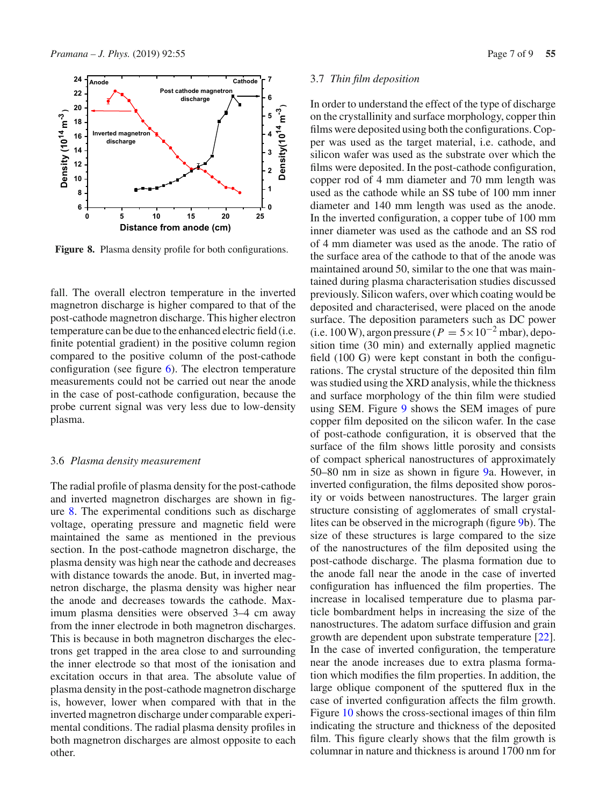

<span id="page-6-0"></span>Figure 8. Plasma density profile for both configurations.

fall. The overall electron temperature in the inverted magnetron discharge is higher compared to that of the post-cathode magnetron discharge. This higher electron temperature can be due to the enhanced electric field (i.e. finite potential gradient) in the positive column region compared to the positive column of the post-cathode configuration (see figure  $6$ ). The electron temperature measurements could not be carried out near the anode in the case of post-cathode configuration, because the probe current signal was very less due to low-density plasma.

#### 3.6 *Plasma density measurement*

The radial profile of plasma density for the post-cathode and inverted magnetron discharges are shown in figure [8.](#page-6-0) The experimental conditions such as discharge voltage, operating pressure and magnetic field were maintained the same as mentioned in the previous section. In the post-cathode magnetron discharge, the plasma density was high near the cathode and decreases with distance towards the anode. But, in inverted magnetron discharge, the plasma density was higher near the anode and decreases towards the cathode. Maximum plasma densities were observed 3–4 cm away from the inner electrode in both magnetron discharges. This is because in both magnetron discharges the electrons get trapped in the area close to and surrounding the inner electrode so that most of the ionisation and excitation occurs in that area. The absolute value of plasma density in the post-cathode magnetron discharge is, however, lower when compared with that in the inverted magnetron discharge under comparable experimental conditions. The radial plasma density profiles in both magnetron discharges are almost opposite to each other.

## 3.7 *Thin film deposition*

In order to understand the effect of the type of discharge on the crystallinity and surface morphology, copper thin films were deposited using both the configurations. Copper was used as the target material, i.e. cathode, and silicon wafer was used as the substrate over which the films were deposited. In the post-cathode configuration, copper rod of 4 mm diameter and 70 mm length was used as the cathode while an SS tube of 100 mm inner diameter and 140 mm length was used as the anode. In the inverted configuration, a copper tube of 100 mm inner diameter was used as the cathode and an SS rod of 4 mm diameter was used as the anode. The ratio of the surface area of the cathode to that of the anode was maintained around 50, similar to the one that was maintained during plasma characterisation studies discussed previously. Silicon wafers, over which coating would be deposited and characterised, were placed on the anode surface. The deposition parameters such as DC power (i.e. 100 W), argon pressure ( $P = 5 \times 10^{-2}$  mbar), deposition time (30 min) and externally applied magnetic field (100 G) were kept constant in both the configurations. The crystal structure of the deposited thin film was studied using the XRD analysis, while the thickness and surface morphology of the thin film were studied using SEM. Figure [9](#page-7-0) shows the SEM images of pure copper film deposited on the silicon wafer. In the case of post-cathode configuration, it is observed that the surface of the film shows little porosity and consists of compact spherical nanostructures of approximately 50–80 nm in size as shown in figure [9a](#page-7-0). However, in inverted configuration, the films deposited show porosity or voids between nanostructures. The larger grain structure consisting of agglomerates of small crystallites can be observed in the micrograph (figure [9b](#page-7-0)). The size of these structures is large compared to the size of the nanostructures of the film deposited using the post-cathode discharge. The plasma formation due to the anode fall near the anode in the case of inverted configuration has influenced the film properties. The increase in localised temperature due to plasma particle bombardment helps in increasing the size of the nanostructures. The adatom surface diffusion and grain growth are dependent upon substrate temperature [\[22](#page-8-20)]. In the case of inverted configuration, the temperature near the anode increases due to extra plasma formation which modifies the film properties. In addition, the large oblique component of the sputtered flux in the case of inverted configuration affects the film growth. Figure [10](#page-7-1) shows the cross-sectional images of thin film indicating the structure and thickness of the deposited film. This figure clearly shows that the film growth is columnar in nature and thickness is around 1700 nm for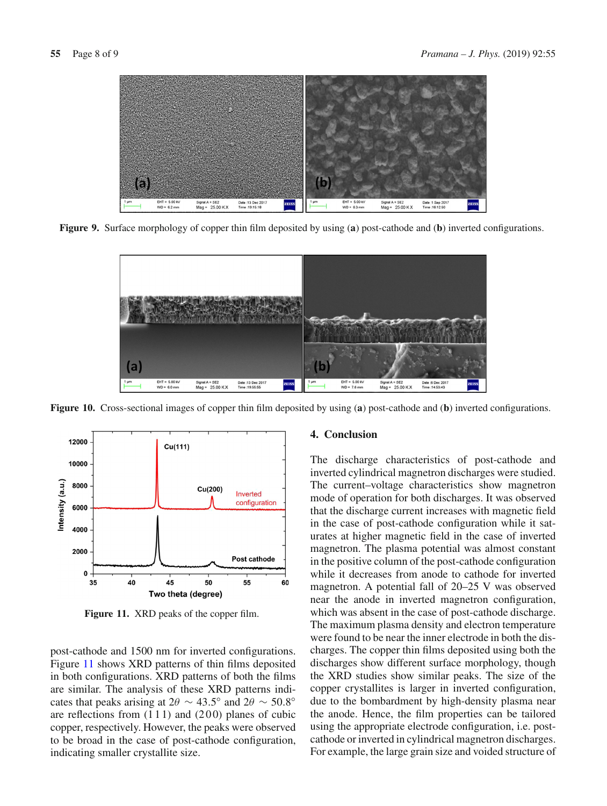

**Figure 9.** Surface morphology of copper thin film deposited by using (**a**) post-cathode and (**b**) inverted configurations.

<span id="page-7-0"></span>

<span id="page-7-1"></span>**Figure 10.** Cross-sectional images of copper thin film deposited by using (**a**) post-cathode and (**b**) inverted configurations.



<span id="page-7-2"></span>**Figure 11.** XRD peaks of the copper film.

post-cathode and 1500 nm for inverted configurations. Figure [11](#page-7-2) shows XRD patterns of thin films deposited in both configurations. XRD patterns of both the films are similar. The analysis of these XRD patterns indicates that peaks arising at  $2\theta \sim 43.5^\circ$  and  $2\theta \sim 50.8^\circ$ are reflections from  $(111)$  and  $(200)$  planes of cubic copper, respectively. However, the peaks were observed to be broad in the case of post-cathode configuration, indicating smaller crystallite size.

## **4. Conclusion**

The discharge characteristics of post-cathode and inverted cylindrical magnetron discharges were studied. The current–voltage characteristics show magnetron mode of operation for both discharges. It was observed that the discharge current increases with magnetic field in the case of post-cathode configuration while it saturates at higher magnetic field in the case of inverted magnetron. The plasma potential was almost constant in the positive column of the post-cathode configuration while it decreases from anode to cathode for inverted magnetron. A potential fall of 20–25 V was observed near the anode in inverted magnetron configuration, which was absent in the case of post-cathode discharge. The maximum plasma density and electron temperature were found to be near the inner electrode in both the discharges. The copper thin films deposited using both the discharges show different surface morphology, though the XRD studies show similar peaks. The size of the copper crystallites is larger in inverted configuration, due to the bombardment by high-density plasma near the anode. Hence, the film properties can be tailored using the appropriate electrode configuration, i.e. postcathode or inverted in cylindrical magnetron discharges. For example, the large grain size and voided structure of